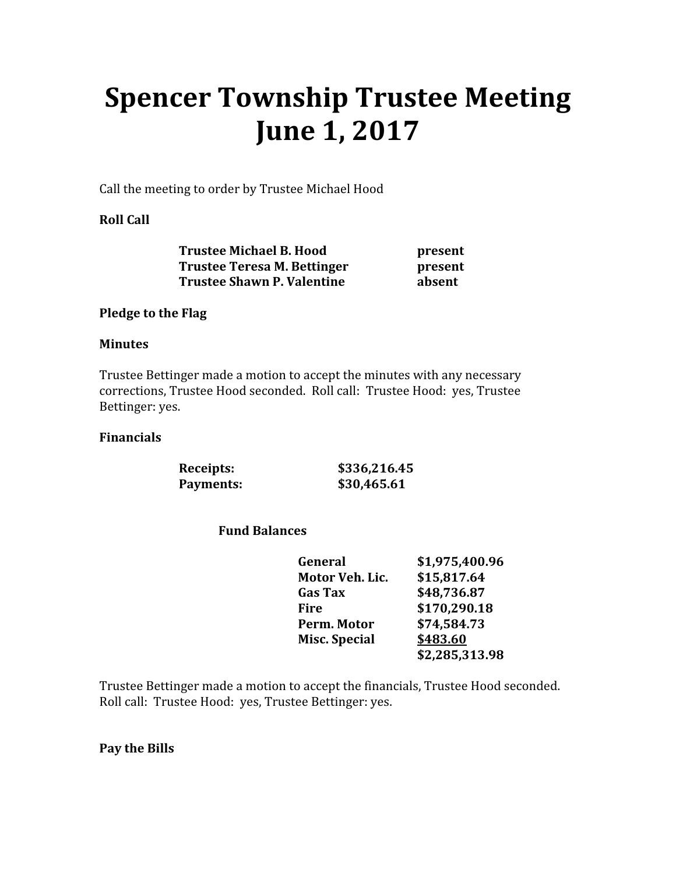# Spencer Township Trustee Meeting June 1, 2017

Call the meeting to order by Trustee Michael Hood

## Roll Call

| <b>Trustee Michael B. Hood</b>    | present |
|-----------------------------------|---------|
| Trustee Teresa M. Bettinger       | present |
| <b>Trustee Shawn P. Valentine</b> | absent  |

### Pledge to the Flag

### Minutes

Trustee Bettinger made a motion to accept the minutes with any necessary corrections, Trustee Hood seconded. Roll call: Trustee Hood: yes, Trustee Bettinger: yes.

#### Financials

 Receipts: \$336,216.45 Payments: \$30,465.61

# Fund Balances

| General              | \$1,975,400.96 |
|----------------------|----------------|
| Motor Veh. Lic.      | \$15,817.64    |
| <b>Gas Tax</b>       | \$48,736.87    |
| Fire                 | \$170,290.18   |
| Perm. Motor          | \$74,584.73    |
| <b>Misc. Special</b> | \$483.60       |
|                      | \$2,285,313.98 |

Trustee Bettinger made a motion to accept the financials, Trustee Hood seconded. Roll call: Trustee Hood: yes, Trustee Bettinger: yes.

Pay the Bills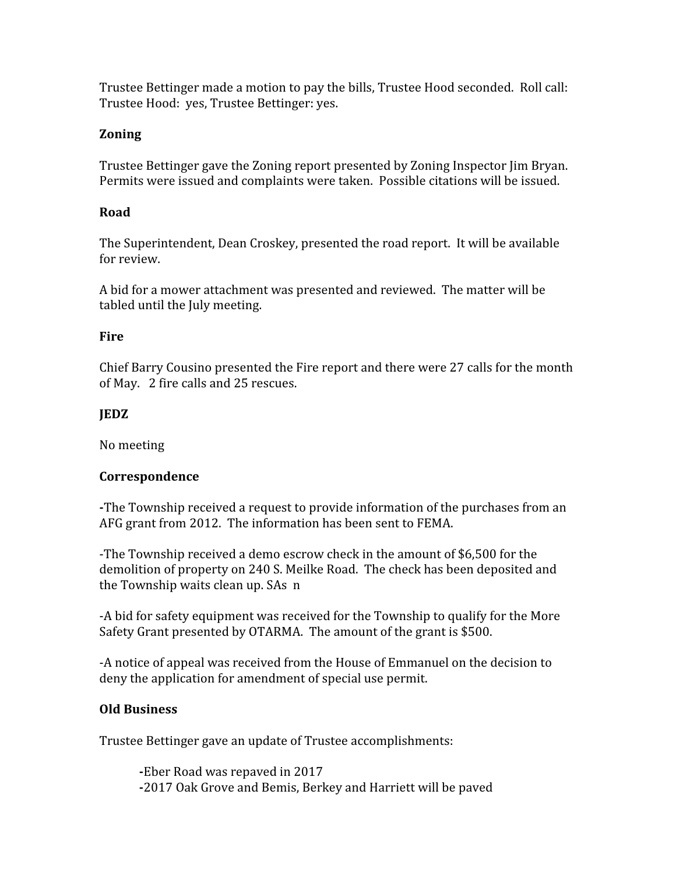Trustee Bettinger made a motion to pay the bills, Trustee Hood seconded. Roll call: Trustee Hood: yes, Trustee Bettinger: yes.

# Zoning

Trustee Bettinger gave the Zoning report presented by Zoning Inspector Jim Bryan. Permits were issued and complaints were taken. Possible citations will be issued.

### Road

The Superintendent, Dean Croskey, presented the road report. It will be available for review.

A bid for a mower attachment was presented and reviewed. The matter will be tabled until the July meeting.

#### **Fire**

Chief Barry Cousino presented the Fire report and there were 27 calls for the month of May. 2 fire calls and 25 rescues.

### JEDZ

No meeting

### Correspondence

-The Township received a request to provide information of the purchases from an AFG grant from 2012. The information has been sent to FEMA.

-The Township received a demo escrow check in the amount of \$6,500 for the demolition of property on 240 S. Meilke Road. The check has been deposited and the Township waits clean up. SAs n

-A bid for safety equipment was received for the Township to qualify for the More Safety Grant presented by OTARMA. The amount of the grant is \$500.

-A notice of appeal was received from the House of Emmanuel on the decision to deny the application for amendment of special use permit.

### Old Business

Trustee Bettinger gave an update of Trustee accomplishments:

-Eber Road was repaved in 2017 -2017 Oak Grove and Bemis, Berkey and Harriett will be paved